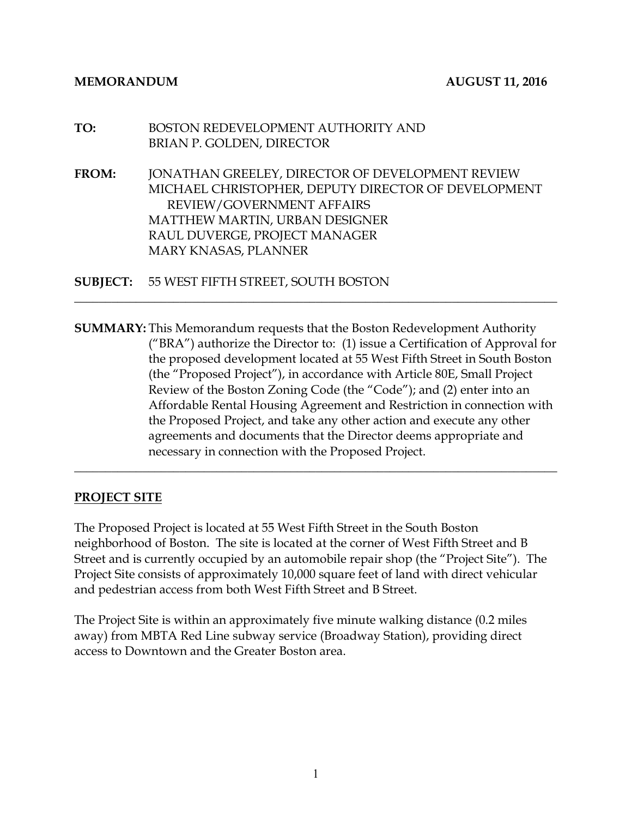**MEMORANDUM AUGUST 11, 2016** 

| TO: | BOSTON REDEVELOPMENT AUTHORITY AND |
|-----|------------------------------------|
|     | BRIAN P. GOLDEN, DIRECTOR          |

**FROM:** JONATHAN GREELEY, DIRECTOR OF DEVELOPMENT REVIEW MICHAEL CHRISTOPHER, DEPUTY DIRECTOR OF DEVELOPMENT REVIEW/GOVERNMENT AFFAIRS MATTHEW MARTIN, URBAN DESIGNER RAUL DUVERGE, PROJECT MANAGER MARY KNASAS, PLANNER

**SUBJECT:** 55 WEST FIFTH STREET, SOUTH BOSTON

**SUMMARY:** This Memorandum requests that the Boston Redevelopment Authority ("BRA") authorize the Director to: (1) issue a Certification of Approval for the proposed development located at 55 West Fifth Street in South Boston (the "Proposed Project"), in accordance with Article 80E, Small Project Review of the Boston Zoning Code (the "Code"); and (2) enter into an Affordable Rental Housing Agreement and Restriction in connection with the Proposed Project, and take any other action and execute any other agreements and documents that the Director deems appropriate and necessary in connection with the Proposed Project.

\_\_\_\_\_\_\_\_\_\_\_\_\_\_\_\_\_\_\_\_\_\_\_\_\_\_\_\_\_\_\_\_\_\_\_\_\_\_\_\_\_\_\_\_\_\_\_\_\_\_\_\_\_\_\_\_\_\_\_\_\_\_\_\_\_\_\_\_\_\_\_\_\_\_\_\_\_\_

\_\_\_\_\_\_\_\_\_\_\_\_\_\_\_\_\_\_\_\_\_\_\_\_\_\_\_\_\_\_\_\_\_\_\_\_\_\_\_\_\_\_\_\_\_\_\_\_\_\_\_\_\_\_\_\_\_\_\_\_\_\_\_\_\_\_\_\_\_\_\_\_\_\_\_\_\_\_

#### **PROJECT SITE**

The Proposed Project is located at 55 West Fifth Street in the South Boston neighborhood of Boston. The site is located at the corner of West Fifth Street and B Street and is currently occupied by an automobile repair shop (the "Project Site"). The Project Site consists of approximately 10,000 square feet of land with direct vehicular and pedestrian access from both West Fifth Street and B Street.

The Project Site is within an approximately five minute walking distance (0.2 miles away) from MBTA Red Line subway service (Broadway Station), providing direct access to Downtown and the Greater Boston area.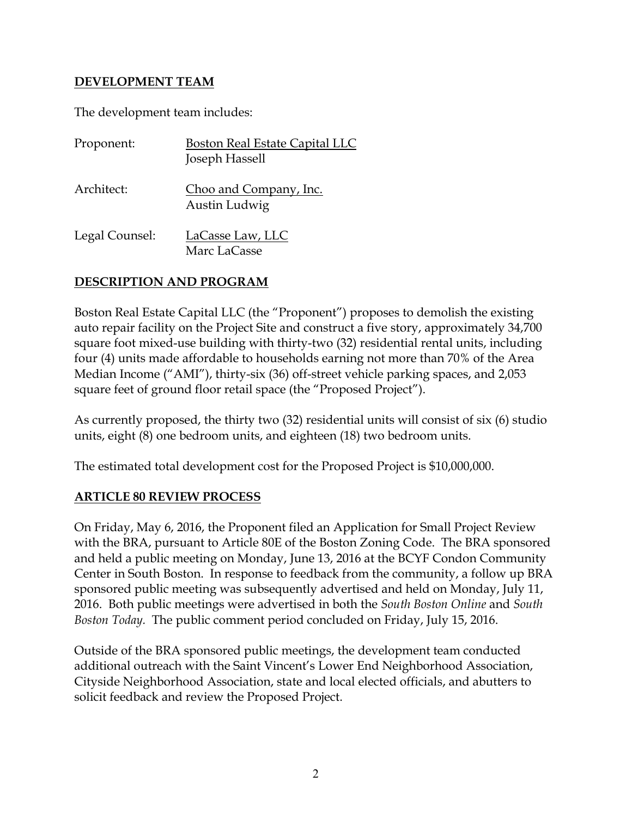### **DEVELOPMENT TEAM**

The development team includes:

| Proponent:     | <b>Boston Real Estate Capital LLC</b><br>Joseph Hassell |  |  |
|----------------|---------------------------------------------------------|--|--|
| Architect:     | Choo and Company, Inc.<br>Austin Ludwig                 |  |  |
| Legal Counsel: | LaCasse Law, LLC<br>Marc LaCasse                        |  |  |

## **DESCRIPTION AND PROGRAM**

Boston Real Estate Capital LLC (the "Proponent") proposes to demolish the existing auto repair facility on the Project Site and construct a five story, approximately 34,700 square foot mixed-use building with thirty-two (32) residential rental units, including four (4) units made affordable to households earning not more than 70% of the Area Median Income ("AMI"), thirty-six (36) off-street vehicle parking spaces, and 2,053 square feet of ground floor retail space (the "Proposed Project").

As currently proposed, the thirty two (32) residential units will consist of six (6) studio units, eight (8) one bedroom units, and eighteen (18) two bedroom units.

The estimated total development cost for the Proposed Project is \$10,000,000.

### **ARTICLE 80 REVIEW PROCESS**

On Friday, May 6, 2016, the Proponent filed an Application for Small Project Review with the BRA, pursuant to Article 80E of the Boston Zoning Code. The BRA sponsored and held a public meeting on Monday, June 13, 2016 at the BCYF Condon Community Center in South Boston. In response to feedback from the community, a follow up BRA sponsored public meeting was subsequently advertised and held on Monday, July 11, 2016. Both public meetings were advertised in both the *South Boston Online* and *South Boston Today.* The public comment period concluded on Friday, July 15, 2016.

Outside of the BRA sponsored public meetings, the development team conducted additional outreach with the Saint Vincent's Lower End Neighborhood Association, Cityside Neighborhood Association, state and local elected officials, and abutters to solicit feedback and review the Proposed Project.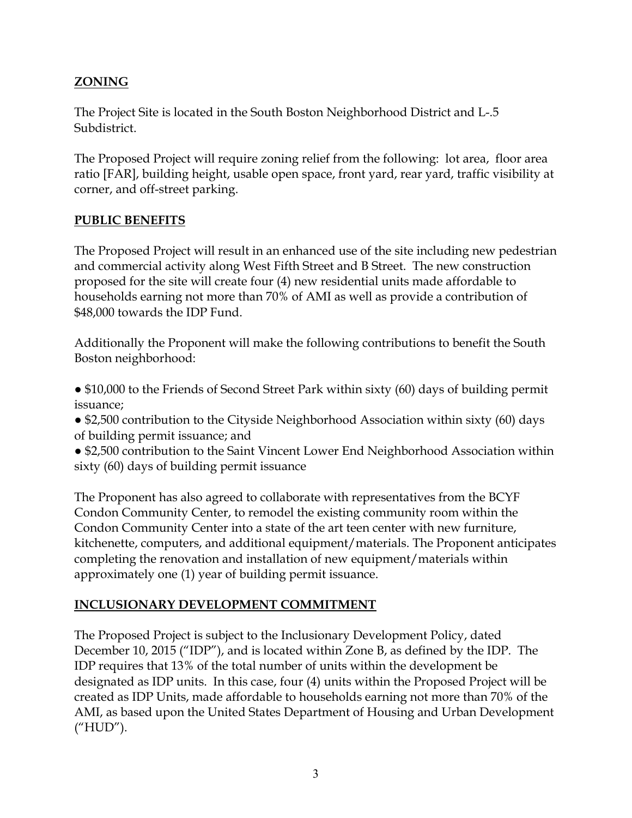## **ZONING**

The Project Site is located in the South Boston Neighborhood District and L-.5 Subdistrict.

The Proposed Project will require zoning relief from the following: lot area, floor area ratio [FAR], building height, usable open space, front yard, rear yard, traffic visibility at corner, and off-street parking.

### **PUBLIC BENEFITS**

The Proposed Project will result in an enhanced use of the site including new pedestrian and commercial activity along West Fifth Street and B Street. The new construction proposed for the site will create four (4) new residential units made affordable to households earning not more than 70% of AMI as well as provide a contribution of \$48,000 towards the IDP Fund.

Additionally the Proponent will make the following contributions to benefit the South Boston neighborhood:

● \$10,000 to the Friends of Second Street Park within sixty (60) days of building permit issuance;

● \$2,500 contribution to the Cityside Neighborhood Association within sixty (60) days of building permit issuance; and

● \$2,500 contribution to the Saint Vincent Lower End Neighborhood Association within sixty (60) days of building permit issuance

The Proponent has also agreed to collaborate with representatives from the BCYF Condon Community Center, to remodel the existing community room within the Condon Community Center into a state of the art teen center with new furniture, kitchenette, computers, and additional equipment/materials. The Proponent anticipates completing the renovation and installation of new equipment/materials within approximately one (1) year of building permit issuance.

### **INCLUSIONARY DEVELOPMENT COMMITMENT**

The Proposed Project is subject to the Inclusionary Development Policy, dated December 10, 2015 ("IDP"), and is located within Zone B, as defined by the IDP. The IDP requires that 13% of the total number of units within the development be designated as IDP units. In this case, four (4) units within the Proposed Project will be created as IDP Units, made affordable to households earning not more than 70% of the AMI, as based upon the United States Department of Housing and Urban Development ("HUD").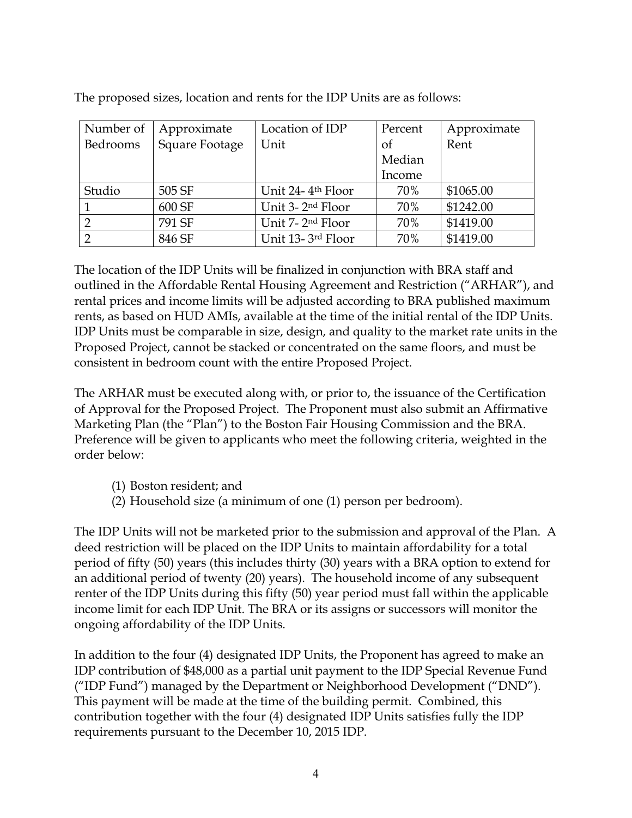| Number of      | Approximate    | Location of IDP               | Percent | Approximate |
|----------------|----------------|-------------------------------|---------|-------------|
| Bedrooms       | Square Footage | Unit                          | of      | Rent        |
|                |                |                               | Median  |             |
|                |                |                               | Income  |             |
| Studio         | 505 SF         | Unit 24-4 <sup>th</sup> Floor | 70%     | \$1065.00   |
|                | 600 SF         | Unit 3-2 <sup>nd</sup> Floor  | 70%     | \$1242.00   |
|                | 791 SF         | Unit 7-2 <sup>nd</sup> Floor  | 70%     | \$1419.00   |
| $\overline{2}$ | 846 SF         | Unit 13-3 <sup>rd</sup> Floor | 70%     | \$1419.00   |

The proposed sizes, location and rents for the IDP Units are as follows:

The location of the IDP Units will be finalized in conjunction with BRA staff and outlined in the Affordable Rental Housing Agreement and Restriction ("ARHAR"), and rental prices and income limits will be adjusted according to BRA published maximum rents, as based on HUD AMIs, available at the time of the initial rental of the IDP Units. IDP Units must be comparable in size, design, and quality to the market rate units in the Proposed Project, cannot be stacked or concentrated on the same floors, and must be consistent in bedroom count with the entire Proposed Project.

The ARHAR must be executed along with, or prior to, the issuance of the Certification of Approval for the Proposed Project. The Proponent must also submit an Affirmative Marketing Plan (the "Plan") to the Boston Fair Housing Commission and the BRA. Preference will be given to applicants who meet the following criteria, weighted in the order below:

- (1) Boston resident; and
- (2) Household size (a minimum of one (1) person per bedroom).

The IDP Units will not be marketed prior to the submission and approval of the Plan. A deed restriction will be placed on the IDP Units to maintain affordability for a total period of fifty (50) years (this includes thirty (30) years with a BRA option to extend for an additional period of twenty (20) years). The household income of any subsequent renter of the IDP Units during this fifty (50) year period must fall within the applicable income limit for each IDP Unit. The BRA or its assigns or successors will monitor the ongoing affordability of the IDP Units.

In addition to the four (4) designated IDP Units, the Proponent has agreed to make an IDP contribution of \$48,000 as a partial unit payment to the IDP Special Revenue Fund ("IDP Fund") managed by the Department or Neighborhood Development ("DND"). This payment will be made at the time of the building permit. Combined, this contribution together with the four (4) designated IDP Units satisfies fully the IDP requirements pursuant to the December 10, 2015 IDP.